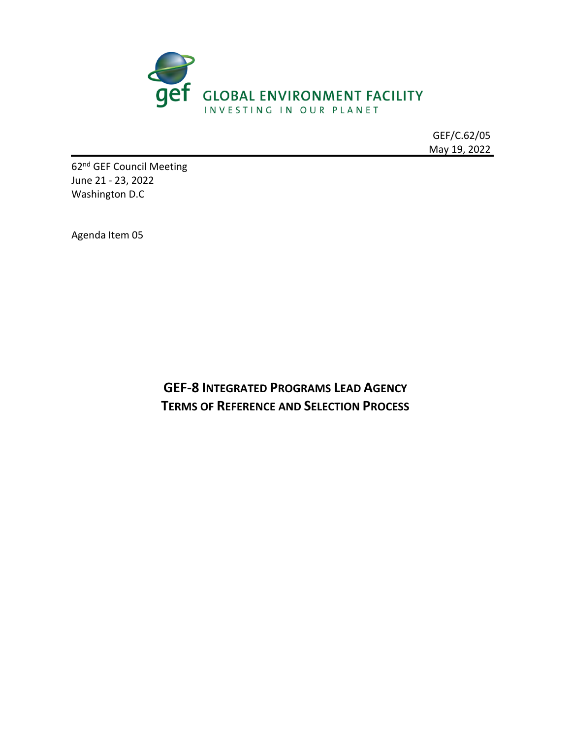

GEF/C.62/05 May 19, 2022

62<sup>nd</sup> GEF Council Meeting June 21 - 23, 2022 Washington D.C

Agenda Item 05

**GEF-8 INTEGRATED PROGRAMS LEAD AGENCY TERMS OF REFERENCE AND SELECTION PROCESS**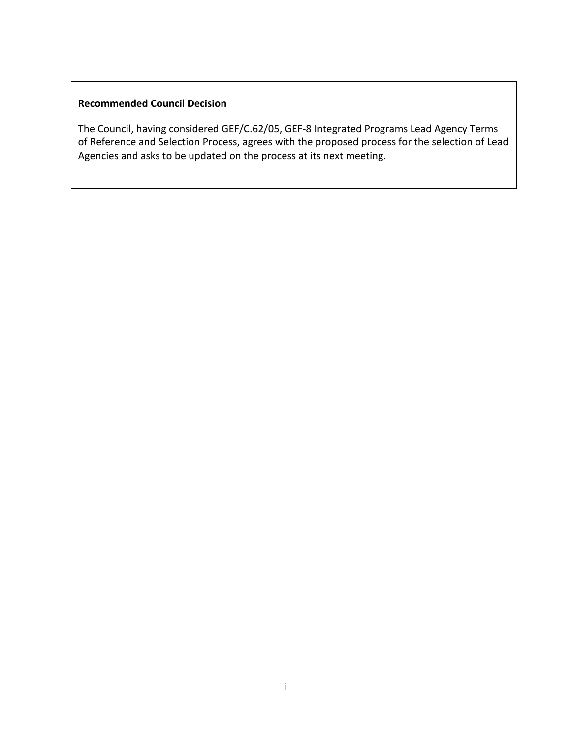## **Recommended Council Decision**

The Council, having considered GEF/C.62/05, GEF-8 Integrated Programs Lead Agency Terms of Reference and Selection Process, agrees with the proposed process for the selection of Lead Agencies and asks to be updated on the process at its next meeting.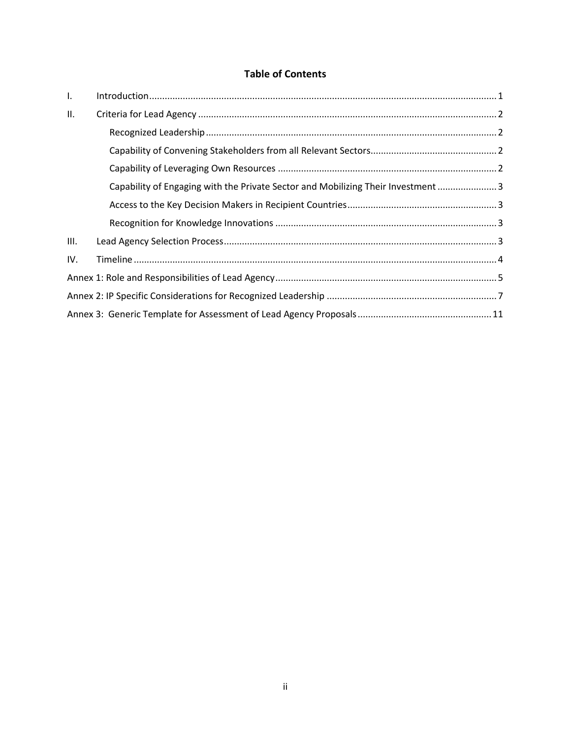# **Table of Contents**

| $\mathbf{L}$ |                                                                                   |  |  |  |  |
|--------------|-----------------------------------------------------------------------------------|--|--|--|--|
| II.          |                                                                                   |  |  |  |  |
|              |                                                                                   |  |  |  |  |
|              |                                                                                   |  |  |  |  |
|              |                                                                                   |  |  |  |  |
|              | Capability of Engaging with the Private Sector and Mobilizing Their Investment  3 |  |  |  |  |
|              |                                                                                   |  |  |  |  |
|              |                                                                                   |  |  |  |  |
| III.         |                                                                                   |  |  |  |  |
| IV.          |                                                                                   |  |  |  |  |
|              |                                                                                   |  |  |  |  |
|              |                                                                                   |  |  |  |  |
|              |                                                                                   |  |  |  |  |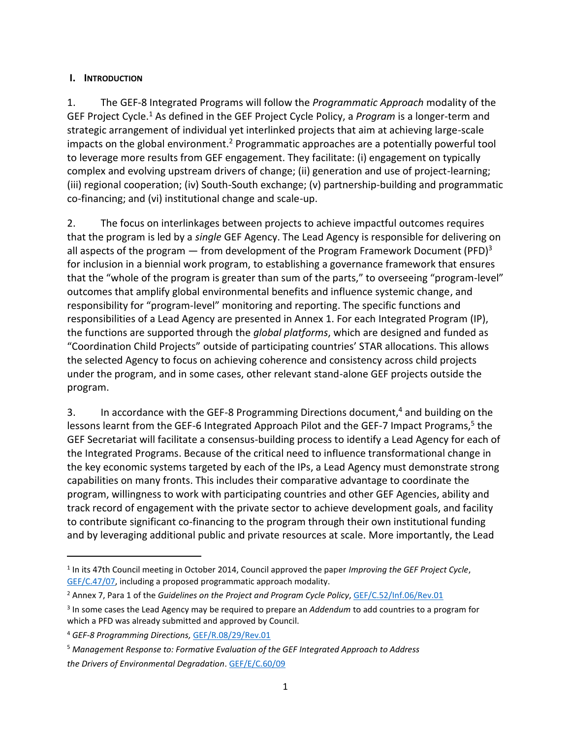### <span id="page-3-0"></span>**I. INTRODUCTION**

1. The GEF-8 Integrated Programs will follow the *Programmatic Approach* modality of the GEF Project Cycle.<sup>1</sup> As defined in the GEF Project Cycle Policy, a *Program* is a longer-term and strategic arrangement of individual yet interlinked projects that aim at achieving large-scale impacts on the global environment.<sup>2</sup> Programmatic approaches are a potentially powerful tool to leverage more results from GEF engagement. They facilitate: (i) engagement on typically complex and evolving upstream drivers of change; (ii) generation and use of project-learning; (iii) regional cooperation; (iv) South-South exchange; (v) partnership-building and programmatic co-financing; and (vi) institutional change and scale-up.

2. The focus on interlinkages between projects to achieve impactful outcomes requires that the program is led by a *single* GEF Agency. The Lead Agency is responsible for delivering on all aspects of the program — from development of the Program Framework Document (PFD)<sup>3</sup> for inclusion in a biennial work program, to establishing a governance framework that ensures that the "whole of the program is greater than sum of the parts," to overseeing "program-level" outcomes that amplify global environmental benefits and influence systemic change, and responsibility for "program-level" monitoring and reporting. The specific functions and responsibilities of a Lead Agency are presented in Annex 1. For each Integrated Program (IP), the functions are supported through the *global platforms*, which are designed and funded as "Coordination Child Projects" outside of participating countries' STAR allocations. This allows the selected Agency to focus on achieving coherence and consistency across child projects under the program, and in some cases, other relevant stand-alone GEF projects outside the program.

3. In accordance with the GEF-8 Programming Directions document,<sup>4</sup> and building on the lessons learnt from the GEF-6 Integrated Approach Pilot and the GEF-7 Impact Programs,<sup>5</sup> the GEF Secretariat will facilitate a consensus-building process to identify a Lead Agency for each of the Integrated Programs. Because of the critical need to influence transformational change in the key economic systems targeted by each of the IPs, a Lead Agency must demonstrate strong capabilities on many fronts. This includes their comparative advantage to coordinate the program, willingness to work with participating countries and other GEF Agencies, ability and track record of engagement with the private sector to achieve development goals, and facility to contribute significant co-financing to the program through their own institutional funding and by leveraging additional public and private resources at scale. More importantly, the Lead

<sup>1</sup> In its 47th Council meeting in October 2014, Council approved the paper *Improving the GEF Project Cycle*, [GEF/C.47/07,](https://www.thegef.org/sites/default/files/council-meeting-documents/19_EN_GEF.C.47.07.Rev_.01_Improving_the_GEF_Project_Cycle_1.pdf) including a proposed programmatic approach modality.

<sup>&</sup>lt;sup>2</sup> Annex 7, Para 1 of the *Guidelines on the Project and Program Cycle Policy*, [GEF/C.52/Inf.06/Rev.01](https://www.thegef.org/sites/default/files/documents/EN_GEF.C.52.Inf_.06.Rev_.01_Guidelines_on_the_Project_and_Program_Cycle_Policy.pdf)

<sup>3</sup> In some cases the Lead Agency may be required to prepare an *Addendum* to add countries to a program for which a PFD was already submitted and approved by Council.

<sup>4</sup> *GEF-8 Programming Directions,* [GEF/R.08/29/Rev.01](https://www.thegef.org/sites/default/files/documents/2022-04/GEF_R.08_29_Rev.01_GEF8_Programming_Directions.pdf)

<sup>5</sup> *Management Response to: Formative Evaluation of the GEF Integrated Approach to Address the Drivers of Environmental Degradation*[. GEF/E/C.60/09](https://www.thegef.org/sites/default/files/council-meeting-documents/EN_GEF.E.C.60.09_Evaluation_Integrated_Approach.pdf)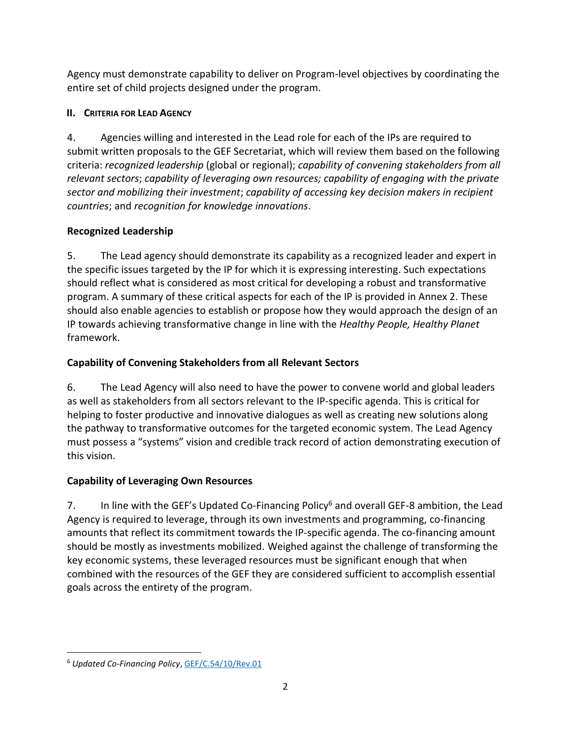Agency must demonstrate capability to deliver on Program-level objectives by coordinating the entire set of child projects designed under the program.

# <span id="page-4-0"></span>**II. CRITERIA FOR LEAD AGENCY**

4. Agencies willing and interested in the Lead role for each of the IPs are required to submit written proposals to the GEF Secretariat, which will review them based on the following criteria: *recognized leadership* (global or regional); *capability of convening stakeholders from all relevant sectors*; *capability of leveraging own resources; capability of engaging with the private sector and mobilizing their investment*; *capability of accessing key decision makers in recipient countries*; and *recognition for knowledge innovations*.

# <span id="page-4-1"></span>**Recognized Leadership**

5. The Lead agency should demonstrate its capability as a recognized leader and expert in the specific issues targeted by the IP for which it is expressing interesting. Such expectations should reflect what is considered as most critical for developing a robust and transformative program. A summary of these critical aspects for each of the IP is provided in Annex 2. These should also enable agencies to establish or propose how they would approach the design of an IP towards achieving transformative change in line with the *Healthy People, Healthy Planet* framework.

# <span id="page-4-2"></span>**Capability of Convening Stakeholders from all Relevant Sectors**

6. The Lead Agency will also need to have the power to convene world and global leaders as well as stakeholders from all sectors relevant to the IP-specific agenda. This is critical for helping to foster productive and innovative dialogues as well as creating new solutions along the pathway to transformative outcomes for the targeted economic system. The Lead Agency must possess a "systems" vision and credible track record of action demonstrating execution of this vision.

# <span id="page-4-3"></span>**Capability of Leveraging Own Resources**

7. In line with the GEF's Updated Co-Financing Policy<sup>6</sup> and overall GEF-8 ambition, the Lead Agency is required to leverage, through its own investments and programming, co-financing amounts that reflect its commitment towards the IP-specific agenda. The co-financing amount should be mostly as investments mobilized. Weighed against the challenge of transforming the key economic systems, these leveraged resources must be significant enough that when combined with the resources of the GEF they are considered sufficient to accomplish essential goals across the entirety of the program.

<sup>6</sup> *Updated Co-Financing Policy*, [GEF/C.54/10/Rev.01](https://www.thegef.org/sites/default/files/council-meeting-documents/EN_GEF.C.54.10.Rev_.01_Co-Financing_Policy.pdf)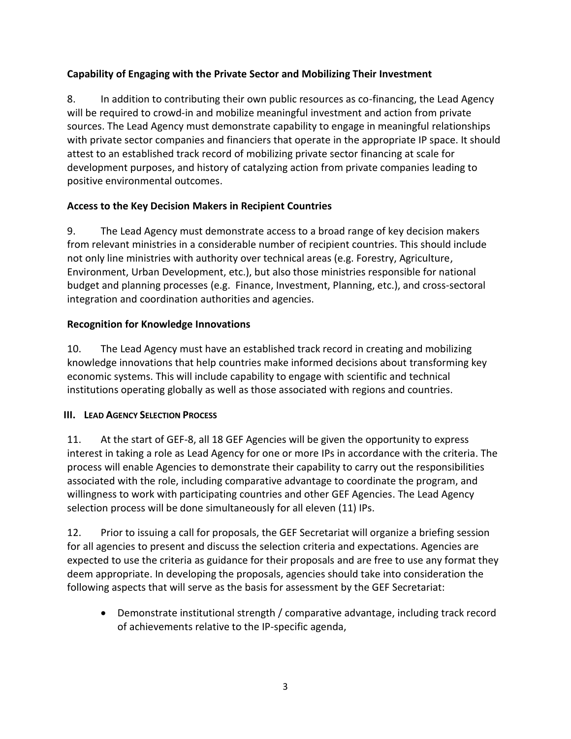# <span id="page-5-0"></span>**Capability of Engaging with the Private Sector and Mobilizing Their Investment**

8. In addition to contributing their own public resources as co-financing, the Lead Agency will be required to crowd-in and mobilize meaningful investment and action from private sources. The Lead Agency must demonstrate capability to engage in meaningful relationships with private sector companies and financiers that operate in the appropriate IP space. It should attest to an established track record of mobilizing private sector financing at scale for development purposes, and history of catalyzing action from private companies leading to positive environmental outcomes.

# <span id="page-5-1"></span>**Access to the Key Decision Makers in Recipient Countries**

9. The Lead Agency must demonstrate access to a broad range of key decision makers from relevant ministries in a considerable number of recipient countries. This should include not only line ministries with authority over technical areas (e.g. Forestry, Agriculture, Environment, Urban Development, etc.), but also those ministries responsible for national budget and planning processes (e.g. Finance, Investment, Planning, etc.), and cross-sectoral integration and coordination authorities and agencies.

# <span id="page-5-2"></span>**Recognition for Knowledge Innovations**

10. The Lead Agency must have an established track record in creating and mobilizing knowledge innovations that help countries make informed decisions about transforming key economic systems. This will include capability to engage with scientific and technical institutions operating globally as well as those associated with regions and countries.

# <span id="page-5-3"></span>**III. LEAD AGENCY SELECTION PROCESS**

11. At the start of GEF-8, all 18 GEF Agencies will be given the opportunity to express interest in taking a role as Lead Agency for one or more IPs in accordance with the criteria. The process will enable Agencies to demonstrate their capability to carry out the responsibilities associated with the role, including comparative advantage to coordinate the program, and willingness to work with participating countries and other GEF Agencies. The Lead Agency selection process will be done simultaneously for all eleven (11) IPs.

12. Prior to issuing a call for proposals, the GEF Secretariat will organize a briefing session for all agencies to present and discuss the selection criteria and expectations. Agencies are expected to use the criteria as guidance for their proposals and are free to use any format they deem appropriate. In developing the proposals, agencies should take into consideration the following aspects that will serve as the basis for assessment by the GEF Secretariat:

• Demonstrate institutional strength / comparative advantage, including track record of achievements relative to the IP-specific agenda,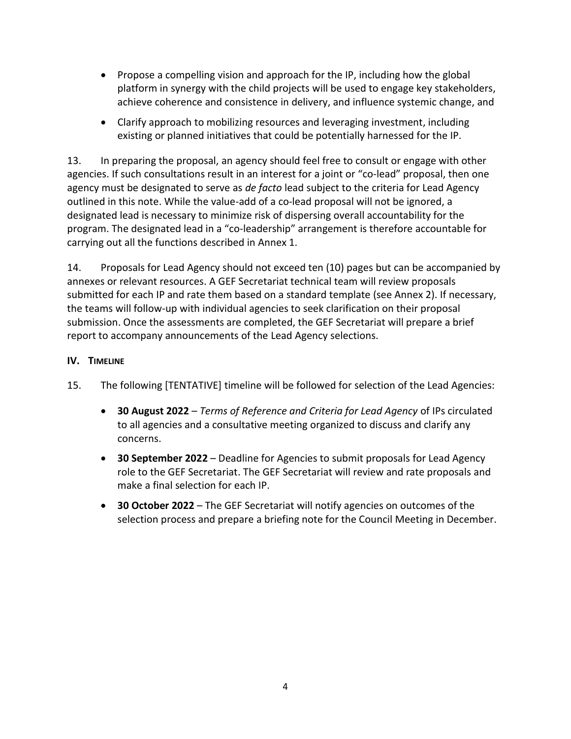- Propose a compelling vision and approach for the IP, including how the global platform in synergy with the child projects will be used to engage key stakeholders, achieve coherence and consistence in delivery, and influence systemic change, and
- Clarify approach to mobilizing resources and leveraging investment, including existing or planned initiatives that could be potentially harnessed for the IP.

13. In preparing the proposal, an agency should feel free to consult or engage with other agencies. If such consultations result in an interest for a joint or "co-lead" proposal, then one agency must be designated to serve as *de facto* lead subject to the criteria for Lead Agency outlined in this note. While the value-add of a co-lead proposal will not be ignored, a designated lead is necessary to minimize risk of dispersing overall accountability for the program. The designated lead in a "co-leadership" arrangement is therefore accountable for carrying out all the functions described in Annex 1.

14. Proposals for Lead Agency should not exceed ten (10) pages but can be accompanied by annexes or relevant resources. A GEF Secretariat technical team will review proposals submitted for each IP and rate them based on a standard template (see Annex 2). If necessary, the teams will follow-up with individual agencies to seek clarification on their proposal submission. Once the assessments are completed, the GEF Secretariat will prepare a brief report to accompany announcements of the Lead Agency selections.

# <span id="page-6-0"></span>**IV. TIMELINE**

- 15. The following [TENTATIVE] timeline will be followed for selection of the Lead Agencies:
	- **30 August 2022** *Terms of Reference and Criteria for Lead Agency* of IPs circulated to all agencies and a consultative meeting organized to discuss and clarify any concerns.
	- **30 September 2022** Deadline for Agencies to submit proposals for Lead Agency role to the GEF Secretariat. The GEF Secretariat will review and rate proposals and make a final selection for each IP.
	- **30 October 2022**  The GEF Secretariat will notify agencies on outcomes of the selection process and prepare a briefing note for the Council Meeting in December.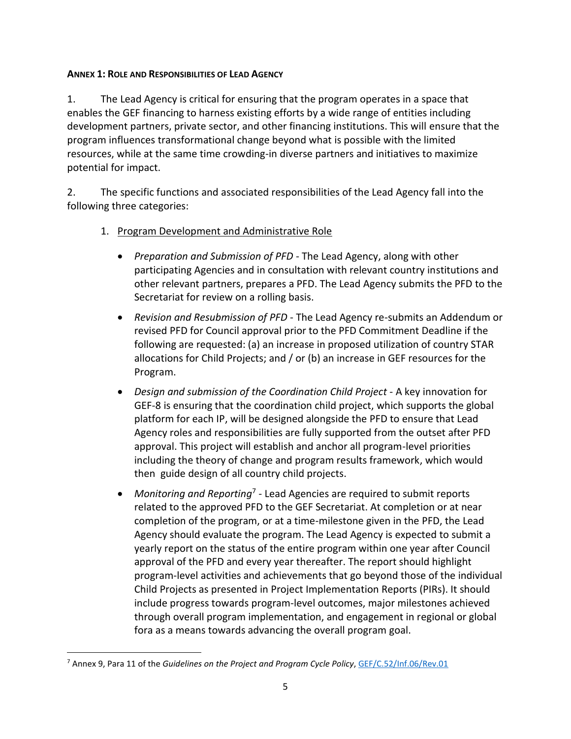### <span id="page-7-0"></span>**ANNEX 1: ROLE AND RESPONSIBILITIES OF LEAD AGENCY**

1. The Lead Agency is critical for ensuring that the program operates in a space that enables the GEF financing to harness existing efforts by a wide range of entities including development partners, private sector, and other financing institutions. This will ensure that the program influences transformational change beyond what is possible with the limited resources, while at the same time crowding-in diverse partners and initiatives to maximize potential for impact.

2. The specific functions and associated responsibilities of the Lead Agency fall into the following three categories:

- 1. Program Development and Administrative Role
	- *Preparation and Submission of PFD* The Lead Agency, along with other participating Agencies and in consultation with relevant country institutions and other relevant partners, prepares a PFD. The Lead Agency submits the PFD to the Secretariat for review on a rolling basis.
	- *Revision and Resubmission of PFD* The Lead Agency re-submits an Addendum or revised PFD for Council approval prior to the PFD Commitment Deadline if the following are requested: (a) an increase in proposed utilization of country STAR allocations for Child Projects; and / or (b) an increase in GEF resources for the Program.
	- *Design and submission of the Coordination Child Project A key innovation for* GEF-8 is ensuring that the coordination child project, which supports the global platform for each IP, will be designed alongside the PFD to ensure that Lead Agency roles and responsibilities are fully supported from the outset after PFD approval. This project will establish and anchor all program-level priorities including the theory of change and program results framework, which would then guide design of all country child projects.
	- Monitoring and Reporting<sup>7</sup> Lead Agencies are required to submit reports related to the approved PFD to the GEF Secretariat. At completion or at near completion of the program, or at a time-milestone given in the PFD, the Lead Agency should evaluate the program. The Lead Agency is expected to submit a yearly report on the status of the entire program within one year after Council approval of the PFD and every year thereafter. The report should highlight program-level activities and achievements that go beyond those of the individual Child Projects as presented in Project Implementation Reports (PIRs). It should include progress towards program-level outcomes, major milestones achieved through overall program implementation, and engagement in regional or global fora as a means towards advancing the overall program goal.

<sup>&</sup>lt;sup>7</sup> Annex 9, Para 11 of the *Guidelines on the Project and Program Cycle Policy*, [GEF/C.52/Inf.06/Rev.01](https://www.thegef.org/sites/default/files/documents/EN_GEF.C.52.Inf_.06.Rev_.01_Guidelines_on_the_Project_and_Program_Cycle_Policy.pdf)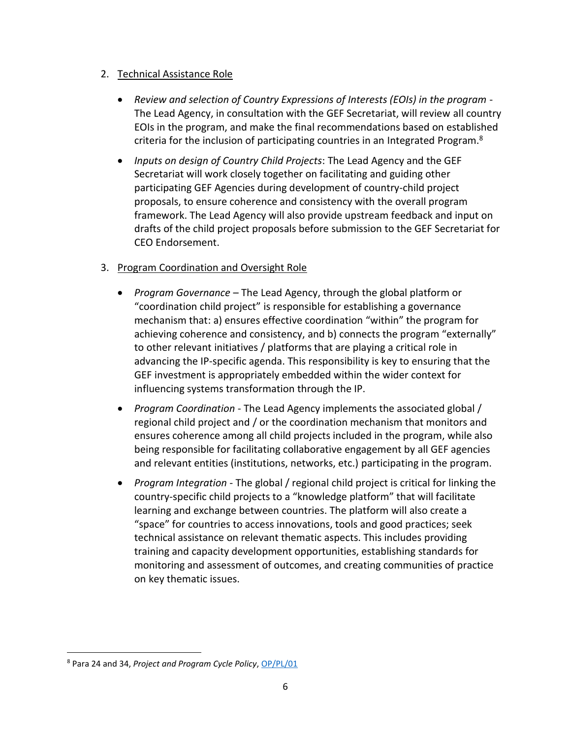## 2. Technical Assistance Role

- *Review and selection of Country Expressions of Interests (EOIs) in the program* The Lead Agency, in consultation with the GEF Secretariat, will review all country EOIs in the program, and make the final recommendations based on established criteria for the inclusion of participating countries in an Integrated Program.<sup>8</sup>
- *Inputs on design of Country Child Projects*: The Lead Agency and the GEF Secretariat will work closely together on facilitating and guiding other participating GEF Agencies during development of country-child project proposals, to ensure coherence and consistency with the overall program framework. The Lead Agency will also provide upstream feedback and input on drafts of the child project proposals before submission to the GEF Secretariat for CEO Endorsement.

# 3. Program Coordination and Oversight Role

- *Program Governance* The Lead Agency, through the global platform or "coordination child project" is responsible for establishing a governance mechanism that: a) ensures effective coordination "within" the program for achieving coherence and consistency, and b) connects the program "externally" to other relevant initiatives / platforms that are playing a critical role in advancing the IP-specific agenda. This responsibility is key to ensuring that the GEF investment is appropriately embedded within the wider context for influencing systems transformation through the IP.
- *Program Coordination* The Lead Agency implements the associated global / regional child project and / or the coordination mechanism that monitors and ensures coherence among all child projects included in the program, while also being responsible for facilitating collaborative engagement by all GEF agencies and relevant entities (institutions, networks, etc.) participating in the program.
- *Program Integration* The global / regional child project is critical for linking the country-specific child projects to a "knowledge platform" that will facilitate learning and exchange between countries. The platform will also create a "space" for countries to access innovations, tools and good practices; seek technical assistance on relevant thematic aspects. This includes providing training and capacity development opportunities, establishing standards for monitoring and assessment of outcomes, and creating communities of practice on key thematic issues.

<sup>8</sup> Para 24 and 34, *Project and Program Cycle Policy*, [OP/PL/01](https://www.thegef.org/sites/default/files/documents/Project_Program_Cycle_Policy.pdf)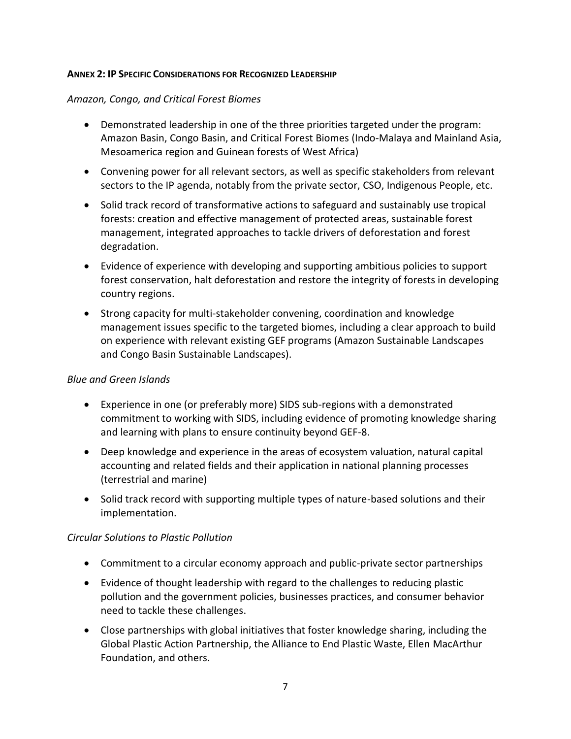#### <span id="page-9-0"></span>**ANNEX 2: IP SPECIFIC CONSIDERATIONS FOR RECOGNIZED LEADERSHIP**

#### *Amazon, Congo, and Critical Forest Biomes*

- Demonstrated leadership in one of the three priorities targeted under the program: Amazon Basin, Congo Basin, and Critical Forest Biomes (Indo-Malaya and Mainland Asia, Mesoamerica region and Guinean forests of West Africa)
- Convening power for all relevant sectors, as well as specific stakeholders from relevant sectors to the IP agenda, notably from the private sector, CSO, Indigenous People, etc.
- Solid track record of transformative actions to safeguard and sustainably use tropical forests: creation and effective management of protected areas, sustainable forest management, integrated approaches to tackle drivers of deforestation and forest degradation.
- Evidence of experience with developing and supporting ambitious policies to support forest conservation, halt deforestation and restore the integrity of forests in developing country regions.
- Strong capacity for multi-stakeholder convening, coordination and knowledge management issues specific to the targeted biomes, including a clear approach to build on experience with relevant existing GEF programs (Amazon Sustainable Landscapes and Congo Basin Sustainable Landscapes).

#### *Blue and Green Islands*

- Experience in one (or preferably more) SIDS sub-regions with a demonstrated commitment to working with SIDS, including evidence of promoting knowledge sharing and learning with plans to ensure continuity beyond GEF-8.
- Deep knowledge and experience in the areas of ecosystem valuation, natural capital accounting and related fields and their application in national planning processes (terrestrial and marine)
- Solid track record with supporting multiple types of nature-based solutions and their implementation.

#### *Circular Solutions to Plastic Pollution*

- Commitment to a circular economy approach and public-private sector partnerships
- Evidence of thought leadership with regard to the challenges to reducing plastic pollution and the government policies, businesses practices, and consumer behavior need to tackle these challenges.
- Close partnerships with global initiatives that foster knowledge sharing, including the Global Plastic Action Partnership, the Alliance to End Plastic Waste, Ellen MacArthur Foundation, and others.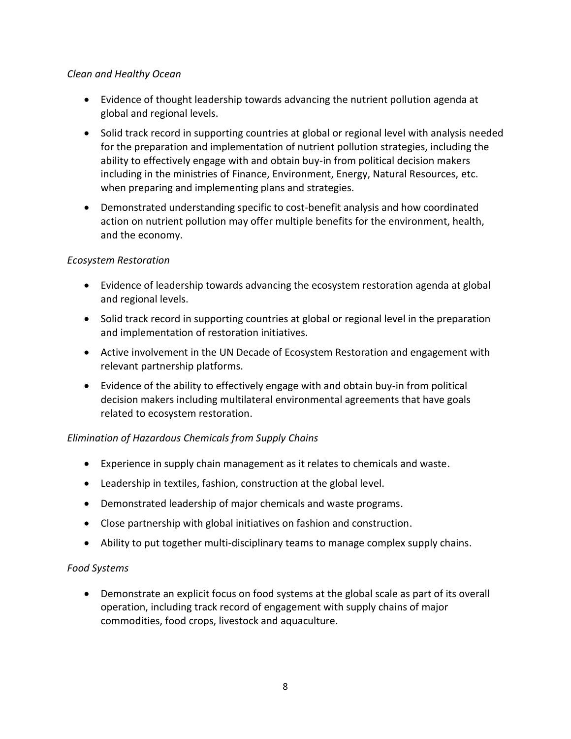## *Clean and Healthy Ocean*

- Evidence of thought leadership towards advancing the nutrient pollution agenda at global and regional levels.
- Solid track record in supporting countries at global or regional level with analysis needed for the preparation and implementation of nutrient pollution strategies, including the ability to effectively engage with and obtain buy-in from political decision makers including in the ministries of Finance, Environment, Energy, Natural Resources, etc. when preparing and implementing plans and strategies.
- Demonstrated understanding specific to cost-benefit analysis and how coordinated action on nutrient pollution may offer multiple benefits for the environment, health, and the economy.

# *Ecosystem Restoration*

- Evidence of leadership towards advancing the ecosystem restoration agenda at global and regional levels.
- Solid track record in supporting countries at global or regional level in the preparation and implementation of restoration initiatives.
- Active involvement in the UN Decade of Ecosystem Restoration and engagement with relevant partnership platforms.
- Evidence of the ability to effectively engage with and obtain buy-in from political decision makers including multilateral environmental agreements that have goals related to ecosystem restoration.

# *Elimination of Hazardous Chemicals from Supply Chains*

- Experience in supply chain management as it relates to chemicals and waste.
- Leadership in textiles, fashion, construction at the global level.
- Demonstrated leadership of major chemicals and waste programs.
- Close partnership with global initiatives on fashion and construction.
- Ability to put together multi-disciplinary teams to manage complex supply chains.

## *Food Systems*

• Demonstrate an explicit focus on food systems at the global scale as part of its overall operation, including track record of engagement with supply chains of major commodities, food crops, livestock and aquaculture.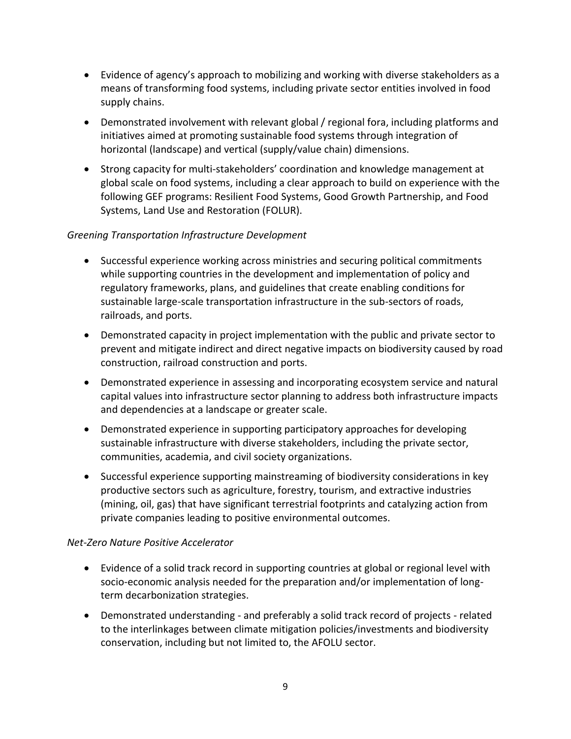- Evidence of agency's approach to mobilizing and working with diverse stakeholders as a means of transforming food systems, including private sector entities involved in food supply chains.
- Demonstrated involvement with relevant global / regional fora, including platforms and initiatives aimed at promoting sustainable food systems through integration of horizontal (landscape) and vertical (supply/value chain) dimensions.
- Strong capacity for multi-stakeholders' coordination and knowledge management at global scale on food systems, including a clear approach to build on experience with the following GEF programs: Resilient Food Systems, Good Growth Partnership, and Food Systems, Land Use and Restoration (FOLUR).

## *Greening Transportation Infrastructure Development*

- Successful experience working across ministries and securing political commitments while supporting countries in the development and implementation of policy and regulatory frameworks, plans, and guidelines that create enabling conditions for sustainable large-scale transportation infrastructure in the sub-sectors of roads, railroads, and ports.
- Demonstrated capacity in project implementation with the public and private sector to prevent and mitigate indirect and direct negative impacts on biodiversity caused by road construction, railroad construction and ports.
- Demonstrated experience in assessing and incorporating ecosystem service and natural capital values into infrastructure sector planning to address both infrastructure impacts and dependencies at a landscape or greater scale.
- Demonstrated experience in supporting participatory approaches for developing sustainable infrastructure with diverse stakeholders, including the private sector, communities, academia, and civil society organizations.
- Successful experience supporting mainstreaming of biodiversity considerations in key productive sectors such as agriculture, forestry, tourism, and extractive industries (mining, oil, gas) that have significant terrestrial footprints and catalyzing action from private companies leading to positive environmental outcomes.

## *Net-Zero Nature Positive Accelerator*

- Evidence of a solid track record in supporting countries at global or regional level with socio-economic analysis needed for the preparation and/or implementation of longterm decarbonization strategies.
- Demonstrated understanding and preferably a solid track record of projects related to the interlinkages between climate mitigation policies/investments and biodiversity conservation, including but not limited to, the AFOLU sector.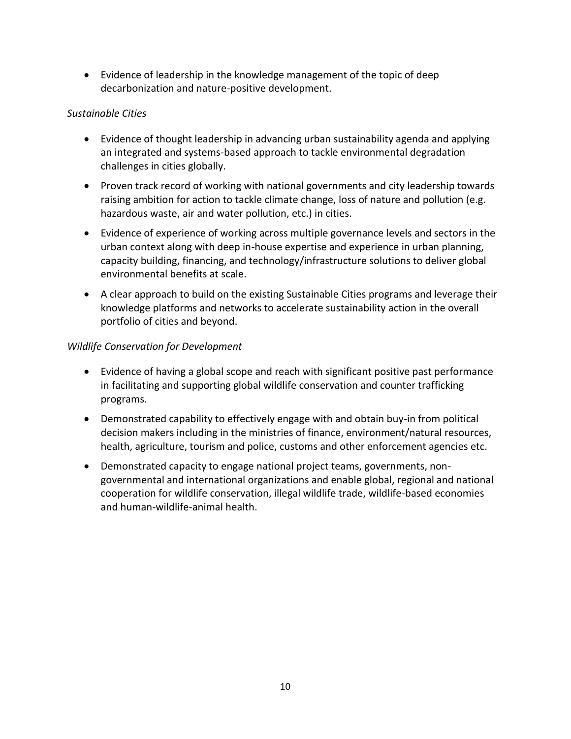• Evidence of leadership in the knowledge management of the topic of deep decarbonization and nature-positive development.

### *Sustainable Cities*

- Evidence of thought leadership in advancing urban sustainability agenda and applying an integrated and systems-based approach to tackle environmental degradation challenges in cities globally.
- Proven track record of working with national governments and city leadership towards raising ambition for action to tackle climate change, loss of nature and pollution (e.g. hazardous waste, air and water pollution, etc.) in cities.
- Evidence of experience of working across multiple governance levels and sectors in the urban context along with deep in-house expertise and experience in urban planning, capacity building, financing, and technology/infrastructure solutions to deliver global environmental benefits at scale.
- A clear approach to build on the existing Sustainable Cities programs and leverage their knowledge platforms and networks to accelerate sustainability action in the overall portfolio of cities and beyond.

#### *Wildlife Conservation for Development*

- Evidence of having a global scope and reach with significant positive past performance in facilitating and supporting global wildlife conservation and counter trafficking programs.
- Demonstrated capability to effectively engage with and obtain buy-in from political decision makers including in the ministries of finance, environment/natural resources, health, agriculture, tourism and police, customs and other enforcement agencies etc.
- Demonstrated capacity to engage national project teams, governments, nongovernmental and international organizations and enable global, regional and national cooperation for wildlife conservation, illegal wildlife trade, wildlife-based economies and human-wildlife-animal health.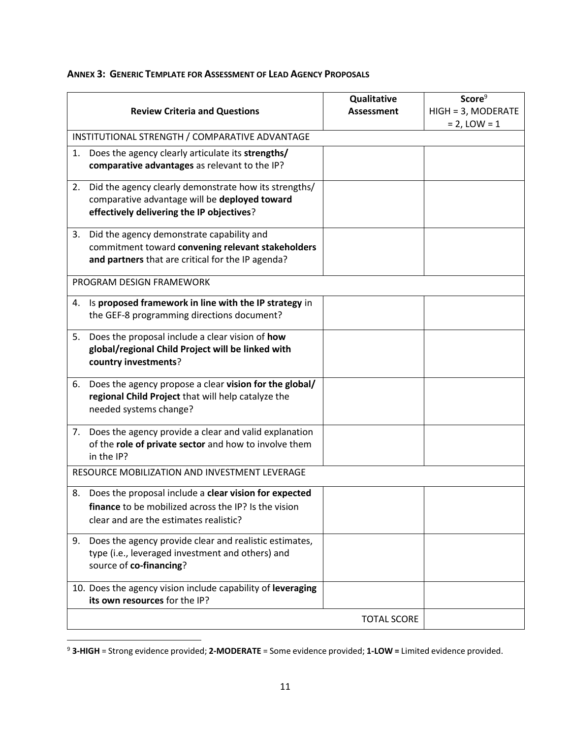|                                                |                                                                              | Qualitative        | Score <sup>9</sup> |  |  |
|------------------------------------------------|------------------------------------------------------------------------------|--------------------|--------------------|--|--|
|                                                | <b>Review Criteria and Questions</b>                                         | <b>Assessment</b>  | HIGH = 3, MODERATE |  |  |
|                                                |                                                                              |                    | $= 2$ , LOW $= 1$  |  |  |
| INSTITUTIONAL STRENGTH / COMPARATIVE ADVANTAGE |                                                                              |                    |                    |  |  |
| 1.                                             | Does the agency clearly articulate its strengths/                            |                    |                    |  |  |
|                                                | comparative advantages as relevant to the IP?                                |                    |                    |  |  |
| 2.                                             | Did the agency clearly demonstrate how its strengths/                        |                    |                    |  |  |
|                                                | comparative advantage will be deployed toward                                |                    |                    |  |  |
|                                                | effectively delivering the IP objectives?                                    |                    |                    |  |  |
| 3.                                             | Did the agency demonstrate capability and                                    |                    |                    |  |  |
|                                                | commitment toward convening relevant stakeholders                            |                    |                    |  |  |
|                                                | and partners that are critical for the IP agenda?                            |                    |                    |  |  |
| PROGRAM DESIGN FRAMEWORK                       |                                                                              |                    |                    |  |  |
|                                                | 4. Is proposed framework in line with the IP strategy in                     |                    |                    |  |  |
|                                                | the GEF-8 programming directions document?                                   |                    |                    |  |  |
| 5.                                             | Does the proposal include a clear vision of how                              |                    |                    |  |  |
|                                                | global/regional Child Project will be linked with                            |                    |                    |  |  |
|                                                | country investments?                                                         |                    |                    |  |  |
|                                                |                                                                              |                    |                    |  |  |
| 6.                                             | Does the agency propose a clear vision for the global/                       |                    |                    |  |  |
|                                                | regional Child Project that will help catalyze the<br>needed systems change? |                    |                    |  |  |
|                                                |                                                                              |                    |                    |  |  |
| 7.                                             | Does the agency provide a clear and valid explanation                        |                    |                    |  |  |
|                                                | of the role of private sector and how to involve them                        |                    |                    |  |  |
|                                                | in the IP?                                                                   |                    |                    |  |  |
| RESOURCE MOBILIZATION AND INVESTMENT LEVERAGE  |                                                                              |                    |                    |  |  |
|                                                | 8. Does the proposal include a clear vision for expected                     |                    |                    |  |  |
|                                                | finance to be mobilized across the IP? Is the vision                         |                    |                    |  |  |
|                                                | clear and are the estimates realistic?                                       |                    |                    |  |  |
| 9.                                             | Does the agency provide clear and realistic estimates,                       |                    |                    |  |  |
|                                                | type (i.e., leveraged investment and others) and                             |                    |                    |  |  |
|                                                | source of co-financing?                                                      |                    |                    |  |  |
|                                                | 10. Does the agency vision include capability of leveraging                  |                    |                    |  |  |
|                                                | its own resources for the IP?                                                |                    |                    |  |  |
|                                                |                                                                              |                    |                    |  |  |
|                                                |                                                                              | <b>TOTAL SCORE</b> |                    |  |  |

#### <span id="page-13-0"></span>**ANNEX 3: GENERIC TEMPLATE FOR ASSESSMENT OF LEAD AGENCY PROPOSALS**

<sup>9</sup> **3-HIGH** = Strong evidence provided; **2-MODERATE** = Some evidence provided; **1-LOW =** Limited evidence provided.